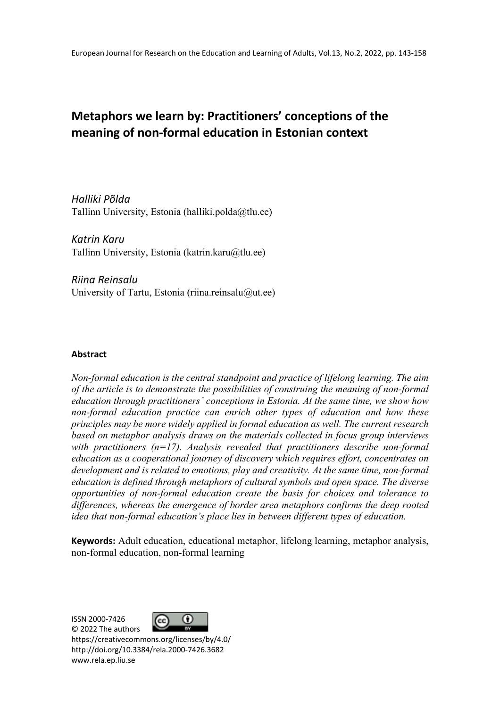# **Metaphors we learn by: Practitioners' conceptions of the meaning of non-formal education in Estonian context**

*Halliki Põlda* Tallinn University, Estonia (halliki.polda@tlu.ee)

*Katrin Karu*  Tallinn University, Estonia (katrin.karu@tlu.ee)

*Riina Reinsalu* University of Tartu, Estonia (riina.reinsalu $@$ ut.ee)

### **Abstract**

*Non-formal education is the central standpoint and practice of lifelong learning. The aim of the article is to demonstrate the possibilities of construing the meaning of non-formal education through practitioners' conceptions in Estonia. At the same time, we show how non-formal education practice can enrich other types of education and how these principles may be more widely applied in formal education as well. The current research based on metaphor analysis draws on the materials collected in focus group interviews with practitioners (n=17). Analysis revealed that practitioners describe non-formal education as a cooperational journey of discovery which requires effort, concentrates on development and is related to emotions, play and creativity. At the same time, non-formal education is defined through metaphors of cultural symbols and open space. The diverse opportunities of non-formal education create the basis for choices and tolerance to differences, whereas the emergence of border area metaphors confirms the deep rooted idea that non-formal education's place lies in between different types of education.*

**Keywords:** Adult education, educational metaphor, lifelong learning, metaphor analysis, non-formal education, non-formal learning

ISSN 2000-7426



© 2022 The authors https://creativecommons.org/licenses/by/4.0/ http://doi.org/10.3384/rela.2000-7426.3682 www.rela.ep.liu.se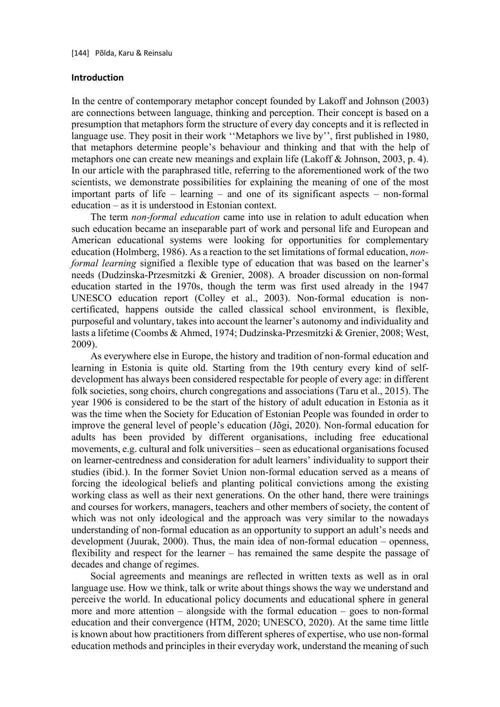#### **Introduction**

In the centre of contemporary metaphor concept founded by Lakoff and Johnson (2003) are connections between language, thinking and perception. Their concept is based on a presumption that metaphors form the structure of every day concepts and it is reflected in language use. They posit in their work "Metaphors we live by", first published in 1980, that metaphors determine people's behaviour and thinking and that with the help of metaphors one can create new meanings and explain life (Lakoff & Johnson, 2003, p. 4). In our article with the paraphrased title, referring to the aforementioned work of the two scientists, we demonstrate possibilities for explaining the meaning of one of the most important parts of life – learning – and one of its significant aspects – non-formal education – as it is understood in Estonian context.

The term *non-formal education* came into use in relation to adult education when such education became an inseparable part of work and personal life and European and American educational systems were looking for opportunities for complementary education (Holmberg, 1986). As a reaction to the set limitations of formal education, *nonformal learning* signified a flexible type of education that was based on the learner's needs (Dudzinska-Przesmitzki & Grenier, 2008). A broader discussion on non-formal education started in the 1970s, though the term was first used already in the 1947 UNESCO education report (Colley et al., 2003). Non-formal education is noncertificated, happens outside the called classical school environment, is flexible, purposeful and voluntary, takes into account the learner's autonomy and individuality and lasts a lifetime (Coombs & Ahmed, 1974; Dudzinska-Przesmitzki & Grenier, 2008; West, 2009).

As everywhere else in Europe, the history and tradition of non-formal education and learning in Estonia is quite old. Starting from the 19th century every kind of selfdevelopment has always been considered respectable for people of every age: in different folk societies, song choirs, church congregations and associations (Taru et al., 2015). The year 1906 is considered to be the start of the history of adult education in Estonia as it was the time when the Society for Education of Estonian People was founded in order to improve the general level of people's education (Jõgi, 2020). Non-formal education for adults has been provided by different organisations, including free educational movements, e.g. cultural and folk universities – seen as educational organisations focused on learner-centredness and consideration for adult learners' individuality to support their studies (ibid.). In the former Soviet Union non-formal education served as a means of forcing the ideological beliefs and planting political convictions among the existing working class as well as their next generations. On the other hand, there were trainings and courses for workers, managers, teachers and other members of society, the content of which was not only ideological and the approach was very similar to the nowadays understanding of non-formal education as an opportunity to support an adult's needs and development (Juurak, 2000). Thus, the main idea of non-formal education – openness, flexibility and respect for the learner – has remained the same despite the passage of decades and change of regimes.

Social agreements and meanings are reflected in written texts as well as in oral language use. How we think, talk or write about things shows the way we understand and perceive the world. In educational policy documents and educational sphere in general more and more attention – alongside with the formal education – goes to non-formal education and their convergence (HTM, 2020; UNESCO, 2020). At the same time little is known about how practitioners from different spheres of expertise, who use non-formal education methods and principles in their everyday work, understand the meaning of such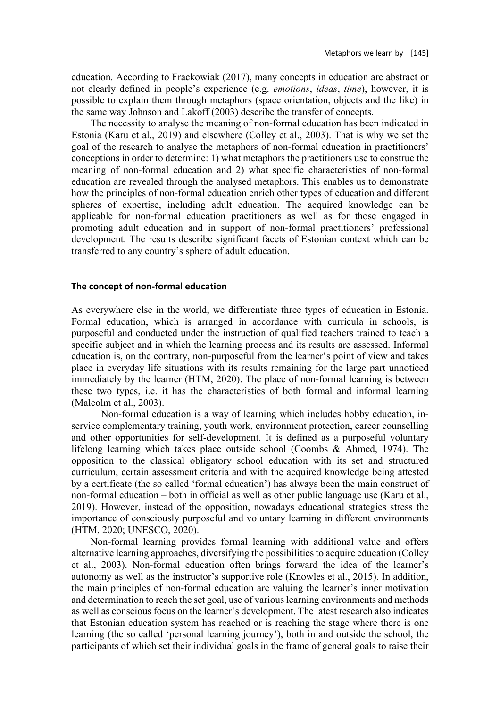education. According to Frackowiak (2017), many concepts in education are abstract or not clearly defined in people's experience (e.g. *emotions*, *ideas*, *time*), however, it is possible to explain them through metaphors (space orientation, objects and the like) in the same way Johnson and Lakoff (2003) describe the transfer of concepts.

The necessity to analyse the meaning of non-formal education has been indicated in Estonia (Karu et al., 2019) and elsewhere (Colley et al., 2003). That is why we set the goal of the research to analyse the metaphors of non-formal education in practitioners' conceptions in order to determine: 1) what metaphors the practitioners use to construe the meaning of non-formal education and 2) what specific characteristics of non-formal education are revealed through the analysed metaphors. This enables us to demonstrate how the principles of non-formal education enrich other types of education and different spheres of expertise, including adult education. The acquired knowledge can be applicable for non-formal education practitioners as well as for those engaged in promoting adult education and in support of non-formal practitioners' professional development. The results describe significant facets of Estonian context which can be transferred to any country's sphere of adult education.

### **The concept of non-formal education**

As everywhere else in the world, we differentiate three types of education in Estonia. Formal education, which is arranged in accordance with curricula in schools, is purposeful and conducted under the instruction of qualified teachers trained to teach a specific subject and in which the learning process and its results are assessed. Informal education is, on the contrary, non-purposeful from the learner's point of view and takes place in everyday life situations with its results remaining for the large part unnoticed immediately by the learner (HTM, 2020). The place of non-formal learning is between these two types, i.e. it has the characteristics of both formal and informal learning (Malcolm et al., 2003).

Non-formal education is a way of learning which includes hobby education, inservice complementary training, youth work, environment protection, career counselling and other opportunities for self-development. It is defined as a purposeful voluntary lifelong learning which takes place outside school (Coombs & Ahmed, 1974). The opposition to the classical obligatory school education with its set and structured curriculum, certain assessment criteria and with the acquired knowledge being attested by a certificate (the so called 'formal education') has always been the main construct of non-formal education – both in official as well as other public language use (Karu et al., 2019). However, instead of the opposition, nowadays educational strategies stress the importance of consciously purposeful and voluntary learning in different environments (HTM, 2020; UNESCO, 2020).

Non-formal learning provides formal learning with additional value and offers alternative learning approaches, diversifying the possibilities to acquire education (Colley et al., 2003). Non-formal education often brings forward the idea of the learner's autonomy as well as the instructor's supportive role (Knowles et al., 2015). In addition, the main principles of non-formal education are valuing the learner's inner motivation and determination to reach the set goal, use of various learning environments and methods as well as conscious focus on the learner's development. The latest research also indicates that Estonian education system has reached or is reaching the stage where there is one learning (the so called 'personal learning journey'), both in and outside the school, the participants of which set their individual goals in the frame of general goals to raise their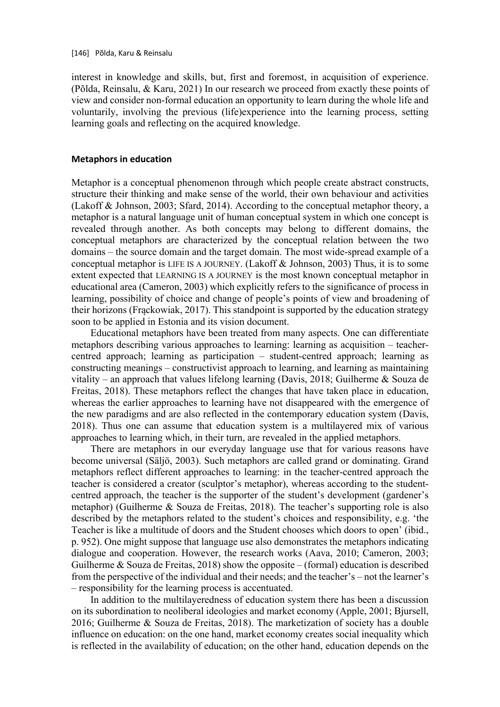interest in knowledge and skills, but, first and foremost, in acquisition of experience. (Põlda, Reinsalu, & Karu, 2021) In our research we proceed from exactly these points of view and consider non-formal education an opportunity to learn during the whole life and voluntarily, involving the previous (life)experience into the learning process, setting learning goals and reflecting on the acquired knowledge.

#### **Metaphors in education**

Metaphor is a conceptual phenomenon through which people create abstract constructs, structure their thinking and make sense of the world, their own behaviour and activities (Lakoff & Johnson, 2003; Sfard, 2014). According to the conceptual metaphor theory, a metaphor is a natural language unit of human conceptual system in which one concept is revealed through another. As both concepts may belong to different domains, the conceptual metaphors are characterized by the conceptual relation between the two domains – the source domain and the target domain. The most wide-spread example of a conceptual metaphor is LIFE IS A JOURNEY. (Lakoff & Johnson, 2003) Thus, it is to some extent expected that LEARNING IS A JOURNEY is the most known conceptual metaphor in educational area (Cameron, 2003) which explicitly refers to the significance of process in learning, possibility of choice and change of people's points of view and broadening of their horizons (Frąckowiak, 2017). This standpoint is supported by the education strategy soon to be applied in Estonia and its vision document.

Educational metaphors have been treated from many aspects. One can differentiate metaphors describing various approaches to learning: learning as acquisition – teachercentred approach; learning as participation – student-centred approach; learning as constructing meanings – constructivist approach to learning, and learning as maintaining vitality – an approach that values lifelong learning (Davis, 2018; Guilherme & Souza de Freitas, 2018). These metaphors reflect the changes that have taken place in education, whereas the earlier approaches to learning have not disappeared with the emergence of the new paradigms and are also reflected in the contemporary education system (Davis, 2018). Thus one can assume that education system is a multilayered mix of various approaches to learning which, in their turn, are revealed in the applied metaphors.

There are metaphors in our everyday language use that for various reasons have become universal (Säljö, 2003). Such metaphors are called grand or dominating. Grand metaphors reflect different approaches to learning: in the teacher-centred approach the teacher is considered a creator (sculptor's metaphor), whereas according to the studentcentred approach, the teacher is the supporter of the student's development (gardener's metaphor) (Guilherme & Souza de Freitas, 2018). The teacher's supporting role is also described by the metaphors related to the student's choices and responsibility, e.g. 'the Teacher is like a multitude of doors and the Student chooses which doors to open' (ibid., p. 952). One might suppose that language use also demonstrates the metaphors indicating dialogue and cooperation. However, the research works (Aava, 2010; Cameron, 2003; Guilherme  $\&$  Souza de Freitas, 2018) show the opposite – (formal) education is described from the perspective of the individual and their needs; and the teacher's – not the learner's – responsibility for the learning process is accentuated.

In addition to the multilayeredness of education system there has been a discussion on its subordination to neoliberal ideologies and market economy (Apple, 2001; Bjursell, 2016; Guilherme & Souza de Freitas, 2018). The marketization of society has a double influence on education: on the one hand, market economy creates social inequality which is reflected in the availability of education; on the other hand, education depends on the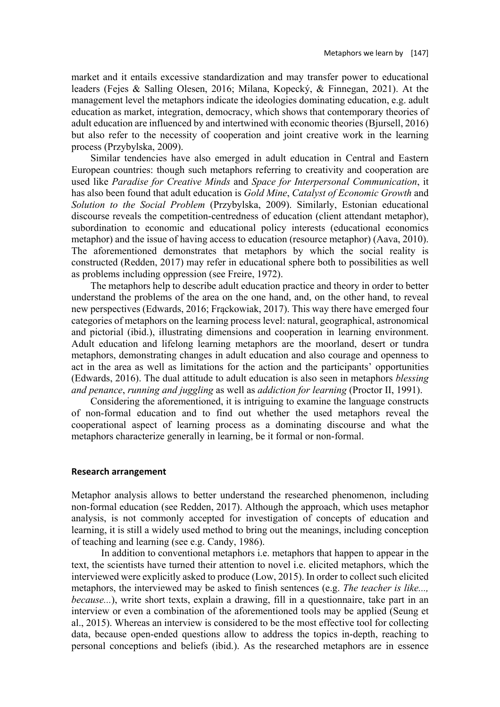market and it entails excessive standardization and may transfer power to educational leaders (Fejes & Salling Olesen, 2016; Milana, Kopecký, & Finnegan, 2021). At the management level the metaphors indicate the ideologies dominating education, e.g. adult education as market, integration, democracy, which shows that contemporary theories of adult education are influenced by and intertwined with economic theories (Bjursell, 2016) but also refer to the necessity of cooperation and joint creative work in the learning process (Przybylska, 2009).

Similar tendencies have also emerged in adult education in Central and Eastern European countries: though such metaphors referring to creativity and cooperation are used like *Paradise for Creative Minds* and *Space for Interpersonal Communication*, it has also been found that adult education is *Gold Mine*, *Catalyst of Economic Growth* and *Solution to the Social Problem* (Przybylska, 2009). Similarly, Estonian educational discourse reveals the competition-centredness of education (client attendant metaphor), subordination to economic and educational policy interests (educational economics metaphor) and the issue of having access to education (resource metaphor) (Aava, 2010). The aforementioned demonstrates that metaphors by which the social reality is constructed (Redden, 2017) may refer in educational sphere both to possibilities as well as problems including oppression (see Freire, 1972).

The metaphors help to describe adult education practice and theory in order to better understand the problems of the area on the one hand, and, on the other hand, to reveal new perspectives (Edwards, 2016; Frąckowiak, 2017). This way there have emerged four categories of metaphors on the learning process level: natural, geographical, astronomical and pictorial (ibid.), illustrating dimensions and cooperation in learning environment. Adult education and lifelong learning metaphors are the moorland, desert or tundra metaphors, demonstrating changes in adult education and also courage and openness to act in the area as well as limitations for the action and the participants' opportunities (Edwards, 2016). The dual attitude to adult education is also seen in metaphors *blessing and penance*, *running and juggling* as well as *addiction for learning* (Proctor II, 1991).

Considering the aforementioned, it is intriguing to examine the language constructs of non-formal education and to find out whether the used metaphors reveal the cooperational aspect of learning process as a dominating discourse and what the metaphors characterize generally in learning, be it formal or non-formal.

#### **Research arrangement**

Metaphor analysis allows to better understand the researched phenomenon, including non-formal education (see Redden, 2017). Although the approach, which uses metaphor analysis, is not commonly accepted for investigation of concepts of education and learning, it is still a widely used method to bring out the meanings, including conception of teaching and learning (see e.g. Candy, 1986).

In addition to conventional metaphors i.e. metaphors that happen to appear in the text, the scientists have turned their attention to novel i.e. elicited metaphors, which the interviewed were explicitly asked to produce (Low, 2015). In order to collect such elicited metaphors, the interviewed may be asked to finish sentences (e.g. *The teacher is like..., because...*), write short texts, explain a drawing, fill in a questionnaire, take part in an interview or even a combination of the aforementioned tools may be applied (Seung et al., 2015). Whereas an interview is considered to be the most effective tool for collecting data, because open-ended questions allow to address the topics in-depth, reaching to personal conceptions and beliefs (ibid.). As the researched metaphors are in essence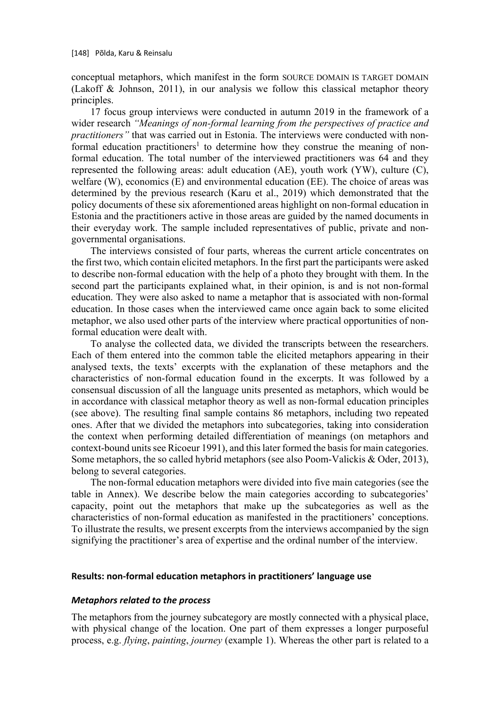conceptual metaphors, which manifest in the form SOURCE DOMAIN IS TARGET DOMAIN (Lakoff & Johnson, 2011), in our analysis we follow this classical metaphor theory principles.

17 focus group interviews were conducted in autumn 2019 in the framework of a wider research *"Meanings of non-formal learning from the perspectives of practice and practitioners"* that was carried out in Estonia. The interviews were conducted with nonformal education practitioners<sup>1</sup> to determine how they construe the meaning of nonformal education. The total number of the interviewed practitioners was 64 and they represented the following areas: adult education (AE), youth work (YW), culture (C), welfare (W), economics (E) and environmental education (EE). The choice of areas was determined by the previous research (Karu et al., 2019) which demonstrated that the policy documents of these six aforementioned areas highlight on non-formal education in Estonia and the practitioners active in those areas are guided by the named documents in their everyday work. The sample included representatives of public, private and nongovernmental organisations.

The interviews consisted of four parts, whereas the current article concentrates on the first two, which contain elicited metaphors. In the first part the participants were asked to describe non-formal education with the help of a photo they brought with them. In the second part the participants explained what, in their opinion, is and is not non-formal education. They were also asked to name a metaphor that is associated with non-formal education. In those cases when the interviewed came once again back to some elicited metaphor, we also used other parts of the interview where practical opportunities of nonformal education were dealt with.

To analyse the collected data, we divided the transcripts between the researchers. Each of them entered into the common table the elicited metaphors appearing in their analysed texts, the texts' excerpts with the explanation of these metaphors and the characteristics of non-formal education found in the excerpts. It was followed by a consensual discussion of all the language units presented as metaphors, which would be in accordance with classical metaphor theory as well as non-formal education principles (see above). The resulting final sample contains 86 metaphors, including two repeated ones. After that we divided the metaphors into subcategories, taking into consideration the context when performing detailed differentiation of meanings (on metaphors and context-bound units see Ricoeur 1991), and this later formed the basis for main categories. Some metaphors, the so called hybrid metaphors (see also Poom-Valickis & Oder, 2013), belong to several categories.

The non-formal education metaphors were divided into five main categories (see the table in Annex). We describe below the main categories according to subcategories' capacity, point out the metaphors that make up the subcategories as well as the characteristics of non-formal education as manifested in the practitioners' conceptions. To illustrate the results, we present excerpts from the interviews accompanied by the sign signifying the practitioner's area of expertise and the ordinal number of the interview.

### **Results: non-formal education metaphors in practitioners' language use**

#### *Metaphors related to the process*

The metaphors from the journey subcategory are mostly connected with a physical place, with physical change of the location. One part of them expresses a longer purposeful process, e.g. *flying*, *painting*, *journey* (example 1). Whereas the other part is related to a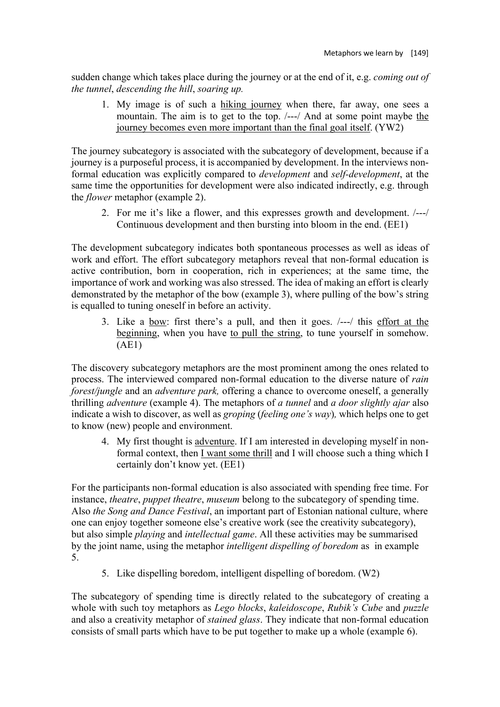sudden change which takes place during the journey or at the end of it, e.g. *coming out of the tunnel*, *descending the hill*, *soaring up.*

1. My image is of such a hiking journey when there, far away, one sees a mountain. The aim is to get to the top. /---/ And at some point maybe the journey becomes even more important than the final goal itself. (YW2)

The journey subcategory is associated with the subcategory of development, because if a journey is a purposeful process, it is accompanied by development. In the interviews nonformal education was explicitly compared to *development* and *self-development*, at the same time the opportunities for development were also indicated indirectly, e.g. through the *flower* metaphor (example 2).

2. For me it's like a flower, and this expresses growth and development. /---/ Continuous development and then bursting into bloom in the end. (EE1)

The development subcategory indicates both spontaneous processes as well as ideas of work and effort. The effort subcategory metaphors reveal that non-formal education is active contribution, born in cooperation, rich in experiences; at the same time, the importance of work and working was also stressed. The idea of making an effort is clearly demonstrated by the metaphor of the bow (example 3), where pulling of the bow's string is equalled to tuning oneself in before an activity.

3. Like a bow: first there's a pull, and then it goes. /---/ this effort at the beginning, when you have to pull the string, to tune yourself in somehow. (AE1)

The discovery subcategory metaphors are the most prominent among the ones related to process. The interviewed compared non-formal education to the diverse nature of *rain forest/jungle* and an *adventure* park, offering a chance to overcome oneself, a generally thrilling *adventure* (example 4). The metaphors of *a tunnel* and *a door slightly ajar* also indicate a wish to discover, as well as *groping* (*feeling one's way*)*,* which helps one to get to know (new) people and environment.

4. My first thought is adventure. If I am interested in developing myself in nonformal context, then I want some thrill and I will choose such a thing which I certainly don't know yet. (EE1)

For the participants non-formal education is also associated with spending free time. For instance, *theatre*, *puppet theatre*, *museum* belong to the subcategory of spending time. Also *the Song and Dance Festival*, an important part of Estonian national culture, where one can enjoy together someone else's creative work (see the creativity subcategory), but also simple *playing* and *intellectual game*. All these activities may be summarised by the joint name, using the metaphor *intelligent dispelling of boredom* as in example 5.

5. Like dispelling boredom, intelligent dispelling of boredom. (W2)

The subcategory of spending time is directly related to the subcategory of creating a whole with such toy metaphors as *Lego blocks*, *kaleidoscope*, *Rubik's Cube* and *puzzle* and also a creativity metaphor of *stained glass*. They indicate that non-formal education consists of small parts which have to be put together to make up a whole (example 6).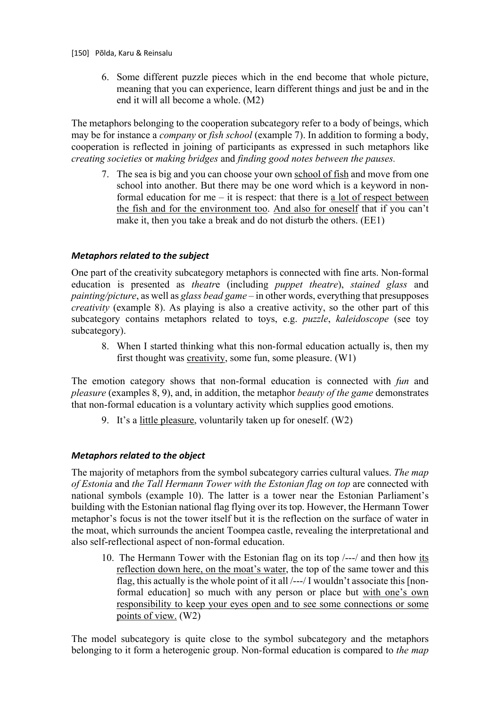6. Some different puzzle pieces which in the end become that whole picture, meaning that you can experience, learn different things and just be and in the end it will all become a whole. (M2)

The metaphors belonging to the cooperation subcategory refer to a body of beings, which may be for instance a *company* or *fish school* (example 7). In addition to forming a body, cooperation is reflected in joining of participants as expressed in such metaphors like *creating societies* or *making bridges* and *finding good notes between the pauses.*

7. The sea is big and you can choose your own school of fish and move from one school into another. But there may be one word which is a keyword in nonformal education for me – it is respect: that there is a lot of respect between the fish and for the environment too. And also for oneself that if you can't make it, then you take a break and do not disturb the others. (EE1)

## *Metaphors related to the subject*

One part of the creativity subcategory metaphors is connected with fine arts. Non-formal education is presented as *theatr*e (including *puppet theatre*), *stained glass* and *painting/picture*, as well as *glass bead game* – in other words, everything that presupposes *creativity* (example 8). As playing is also a creative activity, so the other part of this subcategory contains metaphors related to toys, e.g. *puzzle*, *kaleidoscope* (see toy subcategory).

8. When I started thinking what this non-formal education actually is, then my first thought was creativity, some fun, some pleasure. (W1)

The emotion category shows that non-formal education is connected with *fun* and *pleasure* (examples 8, 9), and, in addition, the metaphor *beauty of the game* demonstrates that non-formal education is a voluntary activity which supplies good emotions.

9. It's a little pleasure, voluntarily taken up for oneself. (W2)

### *Metaphors related to the object*

The majority of metaphors from the symbol subcategory carries cultural values. *The map of Estonia* and *the Tall Hermann Tower with the Estonian flag on top* are connected with national symbols (example 10). The latter is a tower near the Estonian Parliament's building with the Estonian national flag flying over its top. However, the Hermann Tower metaphor's focus is not the tower itself but it is the reflection on the surface of water in the moat, which surrounds the ancient Toompea castle, revealing the interpretational and also self-reflectional aspect of non-formal education.

10. The Hermann Tower with the Estonian flag on its top /---/ and then how its reflection down here, on the moat's water, the top of the same tower and this flag, this actually is the whole point of it all /---/ I wouldn't associate this [nonformal education] so much with any person or place but with one's own responsibility to keep your eyes open and to see some connections or some points of view. (W2)

The model subcategory is quite close to the symbol subcategory and the metaphors belonging to it form a heterogenic group. Non-formal education is compared to *the map*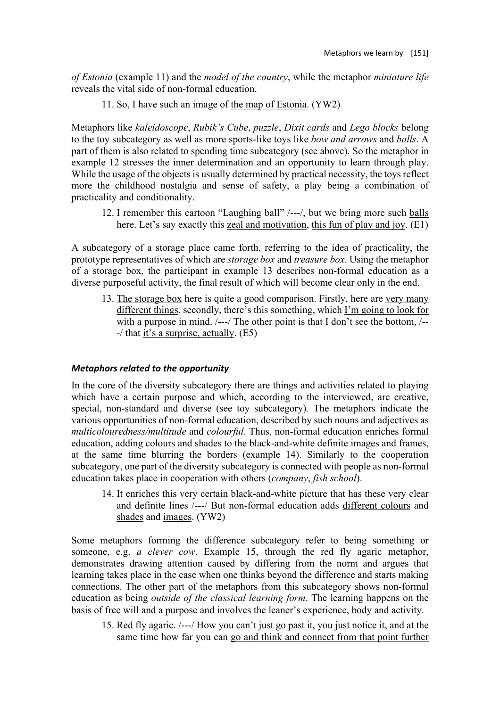*of Estonia* (example 11) and the *model of the country*, while the metaphor *miniature life*  reveals the vital side of non-formal education.

11. So, I have such an image of the map of Estonia. (YW2)

Metaphors like *kaleidoscope*, *Rubik's Cube*, *puzzle*, *Dixit cards* and *Lego blocks* belong to the toy subcategory as well as more sports-like toys like *bow and arrows* and *balls*. A part of them is also related to spending time subcategory (see above). So the metaphor in example 12 stresses the inner determination and an opportunity to learn through play. While the usage of the objects is usually determined by practical necessity, the toys reflect more the childhood nostalgia and sense of safety, a play being a combination of practicality and conditionality.

12. I remember this cartoon "Laughing ball" /---/, but we bring more such balls here. Let's say exactly this zeal and motivation, this fun of play and joy. (E1)

A subcategory of a storage place came forth, referring to the idea of practicality, the prototype representatives of which are *storage box* and *treasure box*. Using the metaphor of a storage box, the participant in example 13 describes non-formal education as a diverse purposeful activity, the final result of which will become clear only in the end.

13. The storage box here is quite a good comparison. Firstly, here are very many different things, secondly, there's this something, which I'm going to look for with a purpose in mind.  $/--/$  The other point is that I don't see the bottom,  $/--$ -/ that it's a surprise, actually. (E5)

### *Metaphors related to the opportunity*

In the core of the diversity subcategory there are things and activities related to playing which have a certain purpose and which, according to the interviewed, are creative, special, non-standard and diverse (see toy subcategory)*.* The metaphors indicate the various opportunities of non-formal education, described by such nouns and adjectives as *multicolouredness/multitude* and *colourful*. Thus, non-formal education enriches formal education, adding colours and shades to the black-and-white definite images and frames, at the same time blurring the borders (example 14). Similarly to the cooperation subcategory, one part of the diversity subcategory is connected with people as non-formal education takes place in cooperation with others (*company*, *fish school*).

14. It enriches this very certain black-and-white picture that has these very clear and definite lines /---/ But non-formal education adds different colours and shades and images. (YW2)

Some metaphors forming the difference subcategory refer to being something or someone, e.g. *a clever cow*. Example 15, through the red fly agaric metaphor, demonstrates drawing attention caused by differing from the norm and argues that learning takes place in the case when one thinks beyond the difference and starts making connections. The other part of the metaphors from this subcategory shows non-formal education as being *outside of the classical learning form*. The learning happens on the basis of free will and a purpose and involves the leaner's experience, body and activity.

15. Red fly agaric. /---/ How you can't just go past it, you just notice it, and at the same time how far you can go and think and connect from that point further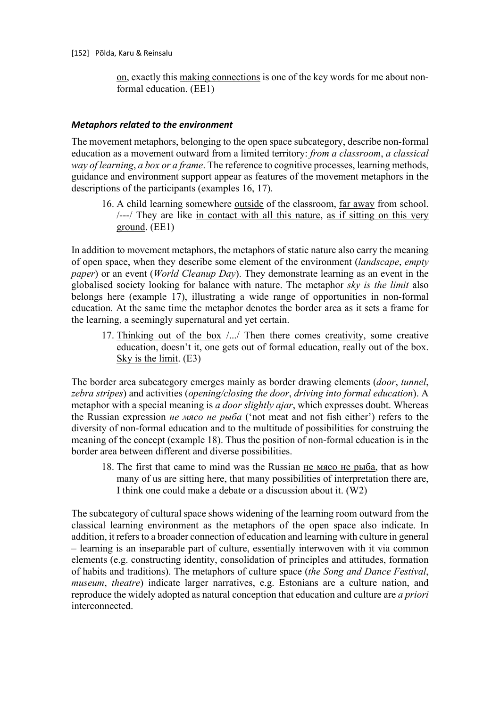on, exactly this making connections is one of the key words for me about nonformal education. (EE1)

### *Metaphors related to the environment*

The movement metaphors, belonging to the open space subcategory, describe non-formal education as a movement outward from a limited territory: *from a classroom*, *a classical way of learning*, *a box or a frame*. The reference to cognitive processes, learning methods, guidance and environment support appear as features of the movement metaphors in the descriptions of the participants (examples 16, 17).

16. A child learning somewhere outside of the classroom, far away from school. /---/ They are like in contact with all this nature, as if sitting on this very ground. (EE1)

In addition to movement metaphors, the metaphors of static nature also carry the meaning of open space, when they describe some element of the environment (*landscape*, *empty paper*) or an event (*World Cleanup Day*). They demonstrate learning as an event in the globalised society looking for balance with nature. The metaphor *sky is the limit* also belongs here (example 17), illustrating a wide range of opportunities in non-formal education. At the same time the metaphor denotes the border area as it sets a frame for the learning, a seemingly supernatural and yet certain.

17. Thinking out of the box /.../ Then there comes creativity, some creative education, doesn't it, one gets out of formal education, really out of the box. Sky is the limit. (E3)

The border area subcategory emerges mainly as border drawing elements (*door*, *tunnel*, *zebra stripes*) and activities (*opening/closing the door*, *driving into formal education*). A metaphor with a special meaning is *a door slightly ajar*, which expresses doubt. Whereas the Russian expression *не мясо не рыба* ('not meat and not fish either') refers to the diversity of non-formal education and to the multitude of possibilities for construing the meaning of the concept (example 18). Thus the position of non-formal education is in the border area between different and diverse possibilities.

18. The first that came to mind was the Russian не мясо не рыба, that as how many of us are sitting here, that many possibilities of interpretation there are, I think one could make a debate or a discussion about it. (W2)

The subcategory of cultural space shows widening of the learning room outward from the classical learning environment as the metaphors of the open space also indicate. In addition, it refers to a broader connection of education and learning with culture in general – learning is an inseparable part of culture, essentially interwoven with it via common elements (e.g. constructing identity, consolidation of principles and attitudes, formation of habits and traditions). The metaphors of culture space (*the Song and Dance Festival*, *museum*, *theatre*) indicate larger narratives, e.g. Estonians are a culture nation, and reproduce the widely adopted as natural conception that education and culture are *a priori*  interconnected.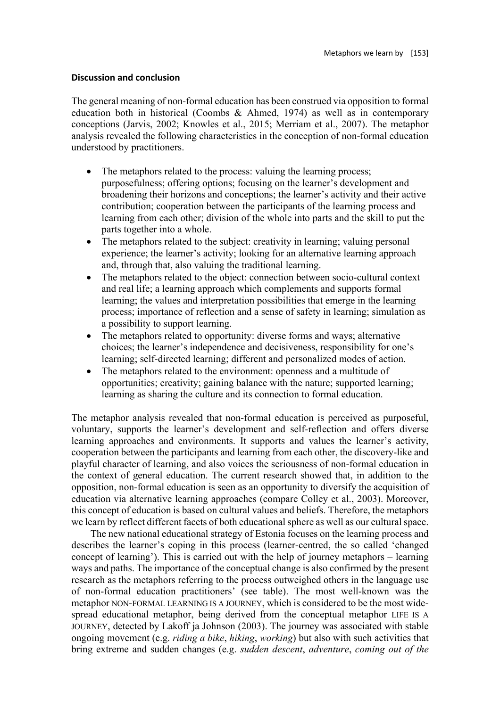### **Discussion and conclusion**

The general meaning of non-formal education has been construed via opposition to formal education both in historical (Coombs & Ahmed, 1974) as well as in contemporary conceptions (Jarvis, 2002; Knowles et al., 2015; Merriam et al., 2007). The metaphor analysis revealed the following characteristics in the conception of non-formal education understood by practitioners.

- The metaphors related to the process: valuing the learning process; purposefulness; offering options; focusing on the learner's development and broadening their horizons and conceptions; the learner's activity and their active contribution; cooperation between the participants of the learning process and learning from each other; division of the whole into parts and the skill to put the parts together into a whole.
- The metaphors related to the subject: creativity in learning; valuing personal experience; the learner's activity; looking for an alternative learning approach and, through that, also valuing the traditional learning.
- The metaphors related to the object: connection between socio-cultural context and real life; a learning approach which complements and supports formal learning; the values and interpretation possibilities that emerge in the learning process; importance of reflection and a sense of safety in learning; simulation as a possibility to support learning.
- The metaphors related to opportunity: diverse forms and ways; alternative choices; the learner's independence and decisiveness, responsibility for one's learning; self-directed learning; different and personalized modes of action.
- The metaphors related to the environment: openness and a multitude of opportunities; creativity; gaining balance with the nature; supported learning; learning as sharing the culture and its connection to formal education.

The metaphor analysis revealed that non-formal education is perceived as purposeful, voluntary, supports the learner's development and self-reflection and offers diverse learning approaches and environments. It supports and values the learner's activity, cooperation between the participants and learning from each other, the discovery-like and playful character of learning, and also voices the seriousness of non-formal education in the context of general education. The current research showed that, in addition to the opposition, non-formal education is seen as an opportunity to diversify the acquisition of education via alternative learning approaches (compare Colley et al., 2003). Moreover, this concept of education is based on cultural values and beliefs. Therefore, the metaphors we learn by reflect different facets of both educational sphere as well as our cultural space.

The new national educational strategy of Estonia focuses on the learning process and describes the learner's coping in this process (learner-centred, the so called 'changed concept of learning'). This is carried out with the help of journey metaphors – learning ways and paths. The importance of the conceptual change is also confirmed by the present research as the metaphors referring to the process outweighed others in the language use of non-formal education practitioners' (see table). The most well-known was the metaphor NON-FORMAL LEARNING IS A JOURNEY, which is considered to be the most widespread educational metaphor, being derived from the conceptual metaphor LIFE IS A JOURNEY, detected by Lakoff ja Johnson (2003). The journey was associated with stable ongoing movement (e.g. *riding a bike*, *hiking*, *working*) but also with such activities that bring extreme and sudden changes (e.g. *sudden descent*, *adventure*, *coming out of the*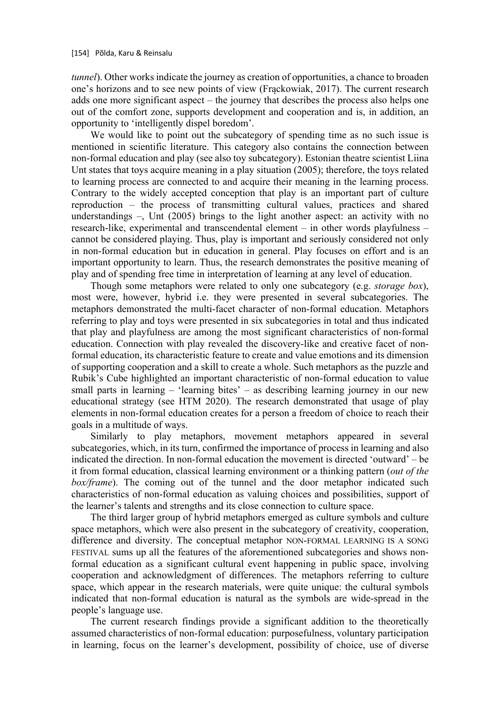*tunnel*). Other works indicate the journey as creation of opportunities, a chance to broaden one's horizons and to see new points of view (Frąckowiak, 2017). The current research adds one more significant aspect – the journey that describes the process also helps one out of the comfort zone, supports development and cooperation and is, in addition, an opportunity to 'intelligently dispel boredom'.

We would like to point out the subcategory of spending time as no such issue is mentioned in scientific literature. This category also contains the connection between non-formal education and play (see also toy subcategory). Estonian theatre scientist Liina Unt states that toys acquire meaning in a play situation (2005); therefore, the toys related to learning process are connected to and acquire their meaning in the learning process. Contrary to the widely accepted conception that play is an important part of culture reproduction – the process of transmitting cultural values, practices and shared understandings –, Unt (2005) brings to the light another aspect: an activity with no research-like, experimental and transcendental element – in other words playfulness – cannot be considered playing. Thus, play is important and seriously considered not only in non-formal education but in education in general. Play focuses on effort and is an important opportunity to learn. Thus, the research demonstrates the positive meaning of play and of spending free time in interpretation of learning at any level of education.

Though some metaphors were related to only one subcategory (e.g. *storage box*), most were, however, hybrid i.e. they were presented in several subcategories. The metaphors demonstrated the multi-facet character of non-formal education. Metaphors referring to play and toys were presented in six subcategories in total and thus indicated that play and playfulness are among the most significant characteristics of non-formal education. Connection with play revealed the discovery-like and creative facet of nonformal education, its characteristic feature to create and value emotions and its dimension of supporting cooperation and a skill to create a whole. Such metaphors as the puzzle and Rubik's Cube highlighted an important characteristic of non-formal education to value small parts in learning – 'learning bites' – as describing learning journey in our new educational strategy (see HTM 2020). The research demonstrated that usage of play elements in non-formal education creates for a person a freedom of choice to reach their goals in a multitude of ways.

Similarly to play metaphors, movement metaphors appeared in several subcategories, which, in its turn, confirmed the importance of process in learning and also indicated the direction. In non-formal education the movement is directed 'outward' – be it from formal education, classical learning environment or a thinking pattern (*out of the box/frame*). The coming out of the tunnel and the door metaphor indicated such characteristics of non-formal education as valuing choices and possibilities, support of the learner's talents and strengths and its close connection to culture space.

The third larger group of hybrid metaphors emerged as culture symbols and culture space metaphors, which were also present in the subcategory of creativity, cooperation, difference and diversity. The conceptual metaphor NON-FORMAL LEARNING IS A SONG FESTIVAL sums up all the features of the aforementioned subcategories and shows nonformal education as a significant cultural event happening in public space, involving cooperation and acknowledgment of differences. The metaphors referring to culture space, which appear in the research materials, were quite unique: the cultural symbols indicated that non-formal education is natural as the symbols are wide-spread in the people's language use.

The current research findings provide a significant addition to the theoretically assumed characteristics of non-formal education: purposefulness, voluntary participation in learning, focus on the learner's development, possibility of choice, use of diverse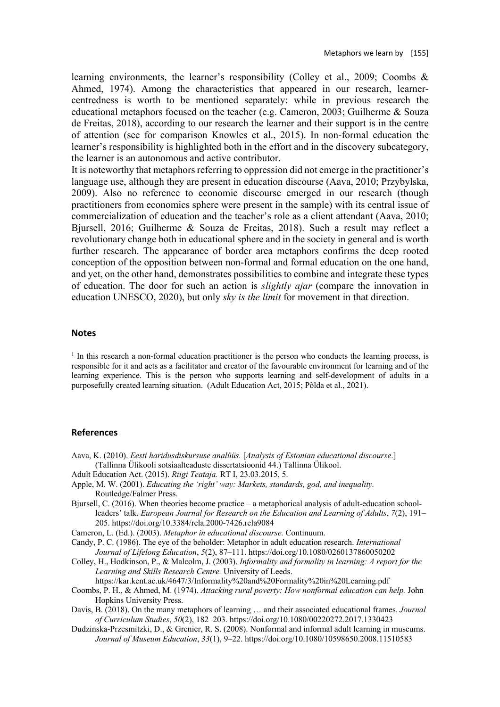learning environments, the learner's responsibility (Colley et al., 2009; Coombs & Ahmed, 1974). Among the characteristics that appeared in our research, learnercentredness is worth to be mentioned separately: while in previous research the educational metaphors focused on the teacher (e.g. Cameron, 2003; Guilherme & Souza de Freitas, 2018), according to our research the learner and their support is in the centre of attention (see for comparison Knowles et al., 2015). In non-formal education the learner's responsibility is highlighted both in the effort and in the discovery subcategory, the learner is an autonomous and active contributor.

It is noteworthy that metaphors referring to oppression did not emerge in the practitioner's language use, although they are present in education discourse (Aava, 2010; Przybylska, 2009). Also no reference to economic discourse emerged in our research (though practitioners from economics sphere were present in the sample) with its central issue of commercialization of education and the teacher's role as a client attendant (Aava, 2010; Bjursell, 2016; Guilherme & Souza de Freitas, 2018). Such a result may reflect a revolutionary change both in educational sphere and in the society in general and is worth further research. The appearance of border area metaphors confirms the deep rooted conception of the opposition between non-formal and formal education on the one hand, and yet, on the other hand, demonstrates possibilities to combine and integrate these types of education. The door for such an action is *slightly ajar* (compare the innovation in education UNESCO, 2020), but only *sky is the limit* for movement in that direction.

#### **Notes**

 $1$  In this research a non-formal education practitioner is the person who conducts the learning process, is responsible for it and acts as a facilitator and creator of the favourable environment for learning and of the learning experience. This is the person who supports learning and self-development of adults in a purposefully created learning situation. (Adult Education Act, 2015; Põlda et al., 2021).

#### **References**

- Aava, K. (2010). *Eesti haridusdiskursuse analüüs.* [*Analysis of Estonian educational discourse*.] (Tallinna Ülikooli sotsiaalteaduste dissertatsioonid 44.) Tallinna Ülikool.
- Adult Education Act. (2015). *Riigi Teataja.* RT I, 23.03.2015, 5.
- Apple, M. W. (2001). *Educating the 'right' way: Markets, standards, god, and inequality.*  Routledge/Falmer Press.
- Bjursell, C. (2016). When theories become practice a metaphorical analysis of adult-education schoolleaders' talk. *European Journal for Research on the Education and Learning of Adults*, *7*(2), 191– 205. https://doi.org/10.3384/rela.2000-7426.rela9084
- Cameron, L. (Ed.). (2003). *Metaphor in educational discourse.* Continuum.
- Candy, P. C. (1986). The eye of the beholder: Metaphor in adult education research. *International Journal of Lifelong Education*, *5*(2), 87–111. https://doi.org/10.1080/0260137860050202
- Colley, H., Hodkinson, P., & Malcolm, J. (2003). *Informality and formality in learning: A report for the Learning and Skills Research Centre.* University of Leeds.
	- https://kar.kent.ac.uk/4647/3/Informality%20and%20Formality%20in%20Learning.pdf
- Coombs, P. H., & Ahmed, M. (1974). *Attacking rural poverty: How nonformal education can help.* John Hopkins University Press.
- Davis, B. (2018). On the many metaphors of learning … and their associated educational frames. *Journal of Curriculum Studies*, *50*(2), 182–203. https://doi.org/10.1080/00220272.2017.1330423
- Dudzinska-Przesmitzki, D., & Grenier, R. S. (2008). Nonformal and informal adult learning in museums. *Journal of Museum Education*, *33*(1), 9–22. https://doi.org/10.1080/10598650.2008.11510583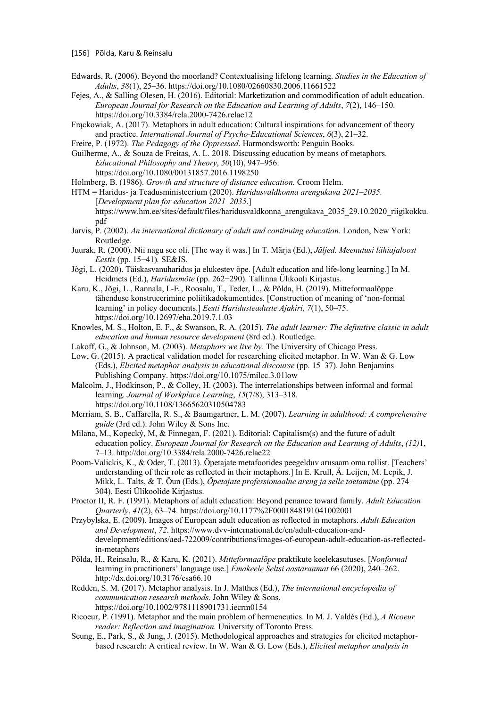- [156] Põlda, Karu & Reinsalu
- Edwards, R. (2006). Beyond the moorland? Contextualising lifelong learning. *Studies in the Education of Adults*, *38*(1), 25–36. https://doi.org/10.1080/02660830.2006.11661522
- Fejes, A., & Salling Olesen, H. (2016). Editorial: Marketization and commodification of adult education. *European Journal for Research on the Education and Learning of Adults*, *7*(2), 146–150. https://doi.org/10.3384/rela.2000-7426.relae12
- Frąckowiak, A. (2017). Metaphors in adult education: Cultural inspirations for advancement of theory and practice. *International Journal of Psycho-Educational Sciences*, *6*(3), 21–32.
- Freire, P. (1972). *The Pedagogy of the Oppressed*. Harmondsworth: Penguin Books.

Guilherme, A., & Souza de Freitas, A. L. 2018. Discussing education by means of metaphors. *Educational Philosophy and Theory*, *50*(10), 947–956. https://doi.org/10.1080/00131857.2016.1198250

Holmberg, B. (1986). *Growth and structure of distance education.* Croom Helm.

HTM = Haridus- ja Teadusministeerium (2020). *Haridusvaldkonna arengukava 2021–2035.* [*Development plan for education 2021–2035*.] https://www.hm.ee/sites/default/files/haridusvaldkonna\_arengukava\_2035\_29.10.2020\_riigikokku. pdf

- Jarvis, P. (2002). *An international dictionary of adult and continuing education*. London, New York: Routledge.
- Juurak, R. (2000). Nii nagu see oli. [The way it was.] In T. Märja (Ed.), *Jäljed. Meenutusi lähiajaloost Eestis* (pp. 15−41)*.* SE&JS.
- Jõgi, L. (2020). Täiskasvanuharidus ja elukestev õpe. [Adult education and life-long learning.] In M. Heidmets (Ed.), *Haridusmõte* (pp. 262−290). Tallinna Ülikooli Kirjastus.
- Karu, K., Jõgi, L., Rannala, I.-E., Roosalu, T., Teder, L., & Põlda, H. (2019). Mitteformaalõppe tähenduse konstrueerimine poliitikadokumentides. [Construction of meaning of 'non-formal learning' in policy documents.] *Eesti Haridusteaduste Ajakiri*, *7*(1), 50–75. https://doi.org/10.12697/eha.2019.7.1.03
- Knowles, M. S., Holton, E. F., & Swanson, R. A. (2015). *The adult learner: The definitive classic in adult education and human resource development* (8rd ed.). Routledge.
- Lakoff, G., & Johnson, M. (2003). *Metaphors we live by.* The University of Chicago Press.
- Low, G. (2015). A practical validation model for researching elicited metaphor. In W. Wan & G. Low (Eds.), *Elicited metaphor analysis in educational discourse* (pp. 15–37). John Benjamins Publishing Company. https://doi.org/10.1075/milcc.3.01low
- Malcolm, J., Hodkinson, P., & Colley, H. (2003). The interrelationships between informal and formal learning. *Journal of Workplace Learning*, *15*(7/8), 313–318. https://doi.org/10.1108/13665620310504783
- Merriam, S. B., Caffarella, R. S., & Baumgartner, L. M. (2007). *Learning in adulthood: A comprehensive guide* (3rd ed.). John Wiley & Sons Inc.
- Milana, M., Kopecký, M, & Finnegan, F. (2021). Editorial: Capitalism(s) and the future of adult education policy. *European Journal for Research on the Education and Learning of Adults*, *(12)*1, 7–13. http://doi.org/10.3384/rela.2000-7426.relae22
- Poom-Valickis, K., & Oder, T. (2013). Õpetajate metafoorides peegelduv arusaam oma rollist. [Teachers' understanding of their role as reflected in their metaphors.] In E. Krull, Ä. Leijen, M. Lepik, J. Mikk, L. Talts, & T. Õun (Eds.), *Õpetajate professionaalne areng ja selle toetamine* (pp. 274– 304). Eesti Ülikoolide Kirjastus.
- Proctor II, R. F. (1991). Metaphors of adult education: Beyond penance toward family. *Adult Education Quarterly*, *41*(2), 63–74. https://doi.org/10.1177%2F0001848191041002001
- Przybylska, E. (2009). Images of European adult education as reflected in metaphors. *Adult Education and Development*, *72*. https://www.dvv-international.de/en/adult-education-anddevelopment/editions/aed-722009/contributions/images-of-european-adult-education-as-reflectedin-metaphors
- Põlda, H., Reinsalu, R., & Karu, K. (2021). *Mitteformaalõpe* praktikute keelekasutuses. [*Nonformal* learning in practitioners' language use.] *Emakeele Seltsi aastaraamat* 66 (2020), 240–262. http://dx.doi.org/10.3176/esa66.10
- Redden, S. M. (2017). Metaphor analysis. In J. Matthes (Ed.), *The international encyclopedia of communication research methods*. John Wiley & Sons. https://doi.org/10.1002/9781118901731.iecrm0154
- Ricoeur, P. (1991). Metaphor and the main problem of hermeneutics. In M. J. Valdés (Ed.), *A Ricoeur reader: Reflection and imagination.* University of Toronto Press.
- Seung, E., Park, S., & Jung, J. (2015). Methodological approaches and strategies for elicited metaphorbased research: A critical review. In W. Wan & G. Low (Eds.), *Elicited metaphor analysis in*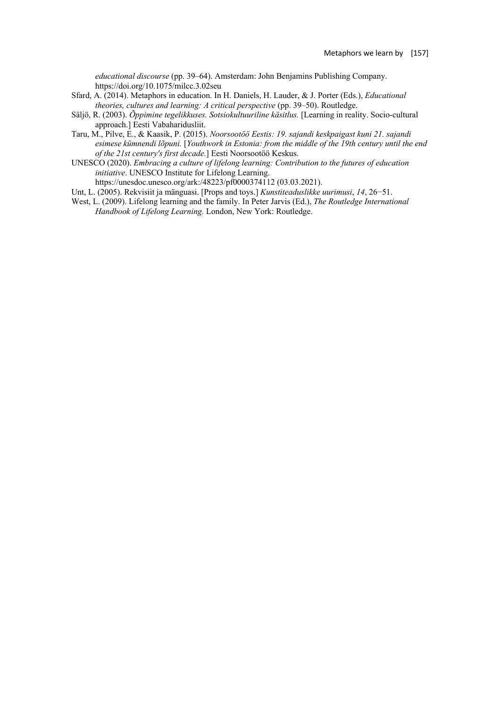*educational discourse* (pp. 39–64). Amsterdam: John Benjamins Publishing Company. https://doi.org/10.1075/milcc.3.02seu

- Sfard, A. (2014). Metaphors in education. In H. Daniels, H. Lauder, & J. Porter (Eds.), *Educational theories, cultures and learning: A critical perspective* (pp. 39-50). Routledge.
- Säljö, R. (2003). *Õppimine tegelikkuses. Sotsiokultuuriline käsitlus.* [Learning in reality. Socio-cultural approach.] Eesti Vabaharidusliit.
- Taru, M., Pilve, E., & Kaasik, P. (2015). *Noorsootöö Eestis: 19. sajandi keskpaigast kuni 21. sajandi esimese kümnendi lõpuni.* [*Youthwork in Estonia: from the middle of the 19th century until the end of the 21st century's first decade.*] Eesti Noorsootöö Keskus.
- UNESCO (2020). *Embracing a culture of lifelong learning: Contribution to the futures of education initiative*. UNESCO Institute for Lifelong Learning.

https://unesdoc.unesco.org/ark:/48223/pf0000374112 (03.03.2021).

- Unt, L. (2005). Rekvisiit ja mänguasi. [Props and toys.] *Kunstiteaduslikke uurimusi*, *14*, 26−51.
- West, L. (2009). Lifelong learning and the family. In Peter Jarvis (Ed.), *The Routledge International Handbook of Lifelong Learning.* London, New York: Routledge.